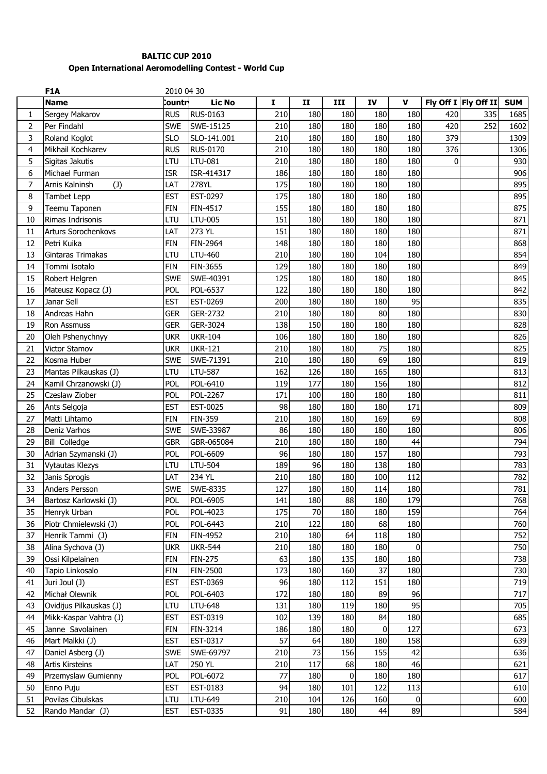## **BALTIC CUP 2010 Open International Aeromodelling Contest - World Cup**

|                         | F1A                                  | 2010 04 30               |                 |           |              |                |     |                |             |                      |            |
|-------------------------|--------------------------------------|--------------------------|-----------------|-----------|--------------|----------------|-----|----------------|-------------|----------------------|------------|
|                         | <b>Name</b>                          | Countr                   | <b>Lic No</b>   | I         | $\mathbf{I}$ | III            | IV  | $\mathbf{V}$   |             | Fly Off I Fly Off II | <b>SUM</b> |
| 1                       | Sergey Makarov                       | <b>RUS</b>               | <b>RUS-0163</b> | 210       | 180          | 180            | 180 | 180            | 420         | 335                  | 1685       |
| $\overline{2}$          | Per Findahl                          | <b>SWE</b>               | SWE-15125       | 210       | 180          | 180            | 180 | 180            | 420         | 252                  | 1602       |
| 3                       | Roland Koglot                        | <b>SLO</b>               | SLO-141.001     | 210       | 180          | 180            | 180 | 180            | 379         |                      | 1309       |
| $\overline{\mathbf{4}}$ | Mikhail Kochkarev                    | <b>RUS</b>               | <b>RUS-0170</b> | 210       | 180          | 180            | 180 | 180            | 376         |                      | 1306       |
| 5                       | Sigitas Jakutis                      | LTU                      | LTU-081         | 210       | 180          | 180            | 180 | 180            | $\mathbf 0$ |                      | 930        |
| 6                       | Michael Furman                       | <b>ISR</b>               | ISR-414317      | 186       | 180          | 180            | 180 | 180            |             |                      | 906        |
| 7                       | Arnis Kalninsh<br>(1)                | LAT                      | 278YL           | 175       | 180          | 180            | 180 | 180            |             |                      | 895        |
| 8                       | Tambet Lepp                          | <b>EST</b>               | EST-0297        | 175       | 180          | 180            | 180 | 180            |             |                      | 895        |
| 9                       | Teemu Taponen                        | <b>FIN</b>               | FIN-4517        | 155       | 180          | 180            | 180 | 180            |             |                      | 875        |
| 10                      | Rimas Indrisonis                     | LTU                      | LTU-005         | 151       | 180          | 180            | 180 | 180            |             |                      | 871        |
| 11                      | <b>Arturs Sorochenkovs</b>           | LAT                      | 273 YL          | 151       | 180          | 180            | 180 | 180            |             |                      | 871        |
| 12                      | Petri Kuika                          | <b>FIN</b>               | FIN-2964        | 148       | 180          | 180            | 180 | 180            |             |                      | 868        |
| 13                      | Gintaras Trimakas                    | LTU                      | LTU-460         | 210       | 180          | 180            | 104 | 180            |             |                      | 854        |
| 14                      | Tommi Isotalo                        | FIN                      | FIN-3655        | 129       | 180          | 180            | 180 | 180            |             |                      | 849        |
| 15                      | Robert Helgren                       | <b>SWE</b>               | SWE-40391       | 125       | 180          | 180            | 180 | 180            |             |                      | 845        |
| 16                      | Mateusz Kopacz (J)                   | POL                      | POL-6537        | 122       | 180          | 180            | 180 | 180            |             |                      | 842        |
| 17                      | Janar Sell                           | <b>EST</b>               | EST-0269        | 200       | 180          | 180            | 180 | 95             |             |                      | 835        |
| 18                      | Andreas Hahn                         | <b>GER</b>               | GER-2732        | 210       | 180          | 180            | 80  | 180            |             |                      | 830        |
| 19                      | Ron Assmuss                          | <b>GER</b>               | GER-3024        | 138       | 150          | 180            | 180 | 180            |             |                      | 828        |
| 20                      | Oleh Pshenychnyy                     | <b>UKR</b>               | <b>UKR-104</b>  | 106       | 180          | 180            | 180 | 180            |             |                      | 826        |
| 21                      | Victor Stamov                        | <b>UKR</b>               | <b>UKR-121</b>  | 210       | 180          | 180            | 75  | 180            |             |                      | 825        |
| 22                      | Kosma Huber                          | <b>SWE</b>               | SWE-71391       | 210       | 180          | 180            | 69  | 180            |             |                      | 819        |
| 23                      | Mantas Pilkauskas (J)                | LTU                      | <b>LTU-587</b>  | 162       | 126          | 180            | 165 | 180            |             |                      | 813        |
| 24                      | Kamil Chrzanowski (J)                | POL                      | POL-6410        | 119       | 177          | 180            | 156 | 180            |             |                      | 812        |
| 25                      | Czeslaw Ziober                       | <b>POL</b>               | POL-2267        | 171       | 100          | 180            | 180 | 180            |             |                      | 811        |
| 26                      | Ants Selgoja                         | <b>EST</b>               | EST-0025        | 98        | 180          | 180            | 180 | 171            |             |                      | 809        |
|                         |                                      |                          | <b>FIN-359</b>  |           | 180          |                | 169 | 69             |             |                      |            |
| 27<br>28                | Matti Lihtamo                        | <b>FIN</b><br><b>SWE</b> | SWE-33987       | 210<br>86 | 180          | 180<br>180     | 180 | 180            |             |                      | 808        |
| 29                      | Deniz Varhos<br><b>Bill Colledge</b> |                          | GBR-065084      | 210       | 180          | 180            | 180 | 44             |             |                      | 806<br>794 |
| 30                      |                                      | <b>GBR</b>               | POL-6609        | 96        | 180          | 180            | 157 | 180            |             |                      |            |
|                         | Adrian Szymanski (J)                 | <b>POL</b>               |                 |           |              |                |     |                |             |                      | 793        |
| 31                      | <b>Vytautas Klezys</b>               | LTU                      | LTU-504         | 189       | 96           | 180            | 138 | 180            |             |                      | 783        |
| 32                      | Janis Sprogis                        | LAT                      | 234 YL          | 210       | 180          | 180            | 100 | 112            |             |                      | 782        |
| 33                      | Anders Persson                       | <b>SWE</b>               | SWE-8335        | 127       | 180          | 180            | 114 | 180            |             |                      | 781        |
| 34                      | Bartosz Karlowski (J)                | POL                      | POL-6905        | 141       | 180          | 88             | 180 | 179            |             |                      | 768        |
| 35                      | Henryk Urban                         | POL                      | POL-4023        | 175       | 70           | 180            | 180 | 159            |             |                      | 764        |
| 36                      | Piotr Chmielewski (J)                | POL                      | POL-6443        | 210       | 122          | 180            | 68  | 180            |             |                      | 760        |
| 37                      | Henrik Tammi (J)                     | <b>FIN</b>               | FIN-4952        | 210       | 180          | 64             | 118 | 180            |             |                      | 752        |
| 38                      | Alina Sychova (J)                    | ukr                      | <b>UKR-544</b>  | 210       | 180          | 180            | 180 | $\overline{0}$ |             |                      | 750        |
| 39                      | Ossi Kilpelainen                     | FIN                      | <b>FIN-275</b>  | 63        | 180          | 135            | 180 | 180            |             |                      | 738        |
| 40                      | Tapio Linkosalo                      | FIN                      | FIN-2500        | 173       | 180          | 160            | 37  | 180            |             |                      | 730        |
| 41                      | Juri Joul (J)                        | <b>EST</b>               | EST-0369        | 96        | 180          | 112            | 151 | 180            |             |                      | 719        |
| 42                      | Michał Olewnik                       | <b>POL</b>               | POL-6403        | 172       | 180          | 180            | 89  | 96             |             |                      | 717        |
| 43                      | Ovidijus Pilkauskas (J)              | LTU                      | LTU-648         | 131       | 180          | 119            | 180 | 95             |             |                      | 705        |
| 44                      | Mikk-Kaspar Vahtra (J)               | <b>EST</b>               | EST-0319        | 102       | 139          | 180            | 84  | 180            |             |                      | 685        |
| 45                      | Janne Savolainen                     | FIN                      | FIN-3214        | 186       | 180          | 180            | 0   | 127            |             |                      | 673        |
| 46                      | Mart Malkki (J)                      | <b>EST</b>               | EST-0317        | 57        | 64           | 180            | 180 | 158            |             |                      | 639        |
| 47                      | Daniel Asberg (J)                    | <b>SWE</b>               | SWE-69797       | 210       | 73           | 156            | 155 | 42             |             |                      | 636        |
| 48                      | <b>Artis Kirsteins</b>               | LAT                      | 250 YL          | 210       | 117          | 68             | 180 | 46             |             |                      | 621        |
| 49                      | Przemyslaw Gumienny                  | POL                      | POL-6072        | 77        | 180          | $\overline{0}$ | 180 | 180            |             |                      | 617        |
| 50                      | Enno Puju                            | <b>EST</b>               | EST-0183        | 94        | 180          | 101            | 122 | 113            |             |                      | 610        |
| 51                      | Povilas Cibulskas                    | LTU                      | LTU-649         | 210       | 104          | 126            | 160 | $\overline{0}$ |             |                      | 600        |
| 52                      | Rando Mandar (J)                     | <b>EST</b>               | EST-0335        | 91        | 180          | 180            | 44  | 89             |             |                      | 584        |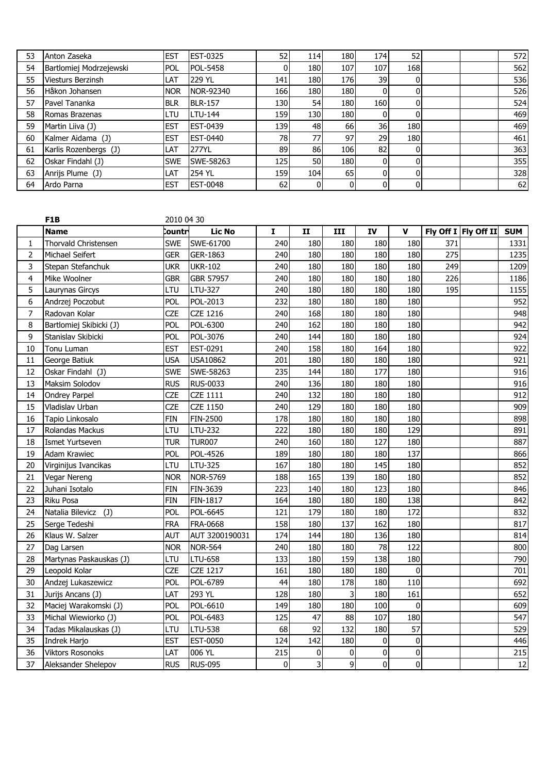| 53 | Anton Zaseka             | <b>EST</b> | <b>EST-0325</b> | 52           | 114        | 180  | 174I | 52  |  | 572 |
|----|--------------------------|------------|-----------------|--------------|------------|------|------|-----|--|-----|
| 54 | Bartlomiej Modrzejewski  | <b>POL</b> | POL-5458        |              | 180        | 107  | 107  | 168 |  | 562 |
| 55 | <b>Viesturs Berzinsh</b> | LAT        | 229 YL          | 141          | <b>180</b> | 1761 | 39   |     |  | 536 |
| 56 | Håkon Johansen           | <b>NOR</b> | NOR-92340       | 166          | 180        | 180  | ΩI   |     |  | 526 |
| 57 | Pavel Tananka            | <b>BLR</b> | <b>BLR-157</b>  | 130I         | 54         | 180  | 160I |     |  | 524 |
| 58 | Romas Brazenas           | LTU        | LTU-144         | 159 <b> </b> | 130        | 180  | 01   |     |  | 469 |
| 59 | Martin Liiva (J)         | <b>EST</b> | <b>EST-0439</b> | 139 I        | 48         | 66   | 36   | 180 |  | 469 |
| 60 | Kalmer Aidama (J)        | <b>EST</b> | <b>EST-0440</b> | 78I          | 77         | 97   | 29   | 180 |  | 461 |
| 61 | Karlis Rozenbergs (J)    | LAT        | 277YL           | 89           | 86         | 106  | 82   |     |  | 363 |
| 62 | Oskar Findahl (J)        | <b>SWE</b> | SWE-58263       | 125          | <b>50</b>  | 180  | ΩI   |     |  | 355 |
| 63 | Anrijs Plume (J)         | LAT        | 254 YL          | 159 <b>1</b> | 104        | 65   | 01   |     |  | 328 |
| 64 | Ardo Parna               | <b>EST</b> | <b>EST-0048</b> | <b>62</b>    |            |      | 01   |     |  | 62  |

|                | F <sub>1</sub> B        | 2010 04 30 |                 |           |              |                |                |                |     |                      |            |
|----------------|-------------------------|------------|-----------------|-----------|--------------|----------------|----------------|----------------|-----|----------------------|------------|
|                | <b>Name</b>             | Countr     | <b>Lic No</b>   | I         | $\mathbf{I}$ | III            | IV             | $\mathbf{V}$   |     | Fly Off I Fly Off II | <b>SUM</b> |
| 1              | Thorvald Christensen    | <b>SWE</b> | SWE-61700       | 240       | 180          | 180            | 180            | 180            | 371 |                      | 1331       |
| $\overline{2}$ | Michael Seifert         | <b>GER</b> | GER-1863        | 240       | 180          | 180            | 180            | 180            | 275 |                      | 1235       |
| 3              | Stepan Stefanchuk       | <b>UKR</b> | <b>UKR-102</b>  | 240       | 180          | 180            | 180            | 180            | 249 |                      | 1209       |
| 4              | Mike Woolner            | <b>GBR</b> | GBR 57957       | 240       | 180          | 180            | 180            | 180            | 226 |                      | 1186       |
| 5              | Laurynas Gircys         | LTU        | LTU-327         | 240       | 180          | 180            | 180            | 180            | 195 |                      | 1155       |
| 6              | Andrzej Poczobut        | POL        | POL-2013        | 232       | 180          | 180            | 180            | 180            |     |                      | 952        |
| $\overline{7}$ | Radovan Kolar           | <b>CZE</b> | <b>CZE 1216</b> | 240       | 168          | 180            | 180            | 180            |     |                      | 948        |
| 8              | Bartlomiej Skibicki (J) | POL        | POL-6300        | 240       | 162          | 180            | 180            | 180            |     |                      | 942        |
| 9              | Stanislav Skibicki      | POL        | POL-3076        | 240       | 144          | 180            | 180            | 180            |     |                      | 924        |
| 10             | Tonu Luman              | <b>EST</b> | EST-0291        | 240       | 158          | 180            | 164            | 180            |     |                      | 922        |
| 11             | George Batiuk           | <b>USA</b> | USA10862        | 201       | 180          | 180            | 180            | 180            |     |                      | 921        |
| 12             | Oskar Findahl (J)       | <b>SWE</b> | SWE-58263       | 235       | 144          | 180            | 177            | 180            |     |                      | 916        |
| 13             | Maksim Solodov          | <b>RUS</b> | RUS-0033        | 240       | 136          | 180            | 180            | 180            |     |                      | 916        |
| 14             | <b>Ondrey Parpel</b>    | <b>CZE</b> | <b>CZE 1111</b> | 240       | 132          | 180            | 180            | 180            |     |                      | 912        |
| 15             | Vladislav Urban         | <b>CZE</b> | <b>CZE 1150</b> | 240       | 129          | 180            | 180            | 180            |     |                      | 909        |
| 16             | Tapio Linkosalo         | <b>FIN</b> | FIN-2500        | 178       | 180          | 180            | 180            | 180            |     |                      | 898        |
| 17             | Rolandas Mackus         | LTU        | LTU-232         | 222       | 180          | 180            | 180            | 129            |     |                      | 891        |
| 18             | Ismet Yurtseven         | <b>TUR</b> | <b>TUR007</b>   | 240       | 160          | 180            | 127            | 180            |     |                      | 887        |
| 19             | Adam Krawiec            | POL        | POL-4526        | 189       | 180          | 180            | 180            | 137            |     |                      | 866        |
| 20             | Virginijus Ivancikas    | LTU        | LTU-325         | 167       | 180          | 180            | 145            | 180            |     |                      | 852        |
| 21             | Vegar Nereng            | <b>NOR</b> | <b>NOR-5769</b> | 188       | 165          | 139            | 180            | 180            |     |                      | 852        |
| 22             | Juhani Isotalo          | <b>FIN</b> | FIN-3639        | 223       | 140          | 180            | 123            | 180            |     |                      | 846        |
| 23             | <b>Riku Posa</b>        | <b>FIN</b> | FIN-1817        | 164       | 180          | 180            | 180            | 138            |     |                      | 842        |
| 24             | (1)<br>Natalia Bilevicz | POL        | POL-6645        | 121       | 179          | 180            | 180            | 172            |     |                      | 832        |
| 25             | Serge Tedeshi           | <b>FRA</b> | <b>FRA-0668</b> | 158       | 180          | 137            | 162            | 180            |     |                      | 817        |
| 26             | Klaus W. Salzer         | <b>AUT</b> | AUT 3200190031  | 174       | 144          | 180            | 136            | 180            |     |                      | 814        |
| 27             | Dag Larsen              | <b>NOR</b> | <b>NOR-564</b>  | 240       | 180          | 180            | 78             | 122            |     |                      | 800        |
| 28             | Martynas Paskauskas (J) | LTU        | LTU-658         | 133       | 180          | 159            | 138            | 180            |     |                      | 790        |
| 29             | Leopold Kolar           | <b>CZE</b> | <b>CZE 1217</b> | 161       | 180          | 180            | 180            | $\mathbf{0}$   |     |                      | 701        |
| 30             | Andzej Lukaszewicz      | pol        | POL-6789        | 44        | 180          | 178            | 180            | 110            |     |                      | 692        |
| 31             | Jurijs Ancans (J)       | LAT        | 293 YL          | 128       | 180          | 3              | 180            | 161            |     |                      | 652        |
| 32             | Maciej Warakomski (J)   | POL        | POL-6610        | 149       | 180          | 180            | 100            | $\mathbf 0$    |     |                      | 609        |
| 33             | Michal Wiewiorko (J)    | POL        | POL-6483        | 125       | 47           | 88             | 107            | 180            |     |                      | 547        |
| 34             | Tadas Mikalauskas (J)   | LTU        | <b>LTU-538</b>  | 68        | 92           | 132            | 180            | 57             |     |                      | 529        |
| 35             | Indrek Harjo            | <b>EST</b> | <b>EST-0050</b> | 124       | 142          | 180            | $\overline{0}$ | $\pmb{0}$      |     |                      | 446        |
| 36             | <b>Viktors Rosonoks</b> | LAT        | 006 YL          | 215       | $\pmb{0}$    | 0              | $\overline{0}$ | $\pmb{0}$      |     |                      | 215        |
| 37             | Aleksander Shelepov     | <b>RUS</b> | <b>RUS-095</b>  | $\pmb{0}$ | 3            | $\overline{9}$ | $\overline{0}$ | $\overline{0}$ |     |                      | 12         |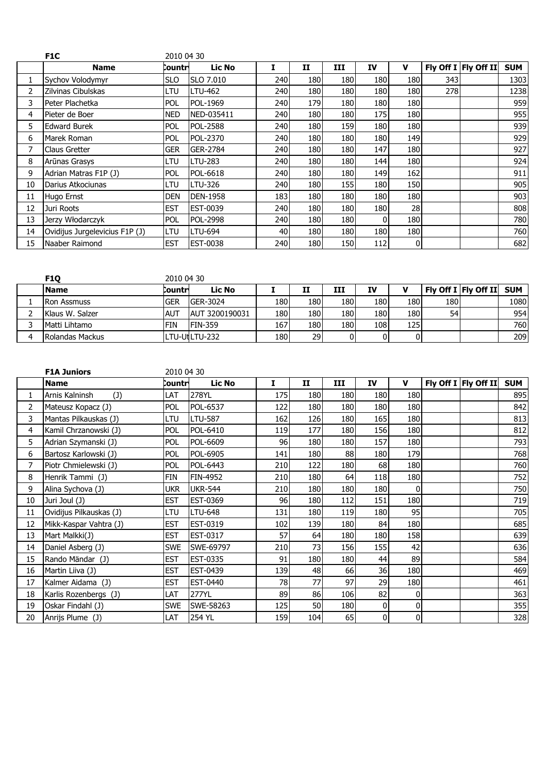|    | F <sub>1</sub> C               | 2010 04 30 |                 |       |            |     |            |     |       |                      |            |
|----|--------------------------------|------------|-----------------|-------|------------|-----|------------|-----|-------|----------------------|------------|
|    | <b>Name</b>                    | Countri    | <b>Lic No</b>   |       | 11         | III | IV         | v   |       | Fly Off I Fly Off II | <b>SUM</b> |
|    | Sychov Volodymyr               | <b>SLO</b> | SLO 7.010       | 240   | 180        | 180 | <b>180</b> | 180 | 343 I |                      | 1303       |
| 2  | Zilvinas Cibulskas             | LTU        | LTU-462         | 240 l | <b>180</b> | 180 | 180        | 180 | 278l  |                      | 1238       |
| 3  | Peter Plachetka                | <b>POL</b> | POL-1969        | 240 l | 179        | 180 | 180        | 180 |       |                      | 959        |
| 4  | Pieter de Boer                 | <b>NED</b> | NED-035411      | 240   | 180        | 180 | 175        | 180 |       |                      | 955        |
| 5. | <b>Edward Burek</b>            | <b>POL</b> | <b>POL-2588</b> | 240   | 180        | 159 | 180        | 180 |       |                      | 939        |
| 6  | Marek Roman                    | <b>POL</b> | POL-2370        | 240   | 180        | 180 | <b>180</b> | 149 |       |                      | 929        |
| 7  | <b>Claus Gretter</b>           | <b>GER</b> | GER-2784        | 240   | 180        | 180 | 147        | 180 |       |                      | 927        |
| 8  | Arūnas Grasys                  | ltu        | LTU-283         | 240   | 180        | 180 | 144        | 180 |       |                      | 924        |
| 9  | Adrian Matras F1P (J)          | <b>POL</b> | POL-6618        | 240   | 180        | 180 | 149        | 162 |       |                      | 911        |
| 10 | Darius Atkociunas              | ltu        | LTU-326         | 240   | 180        | 155 | 180        | 150 |       |                      | 905        |
| 11 | Hugo Ernst                     | <b>DEN</b> | <b>DEN-1958</b> | 183   | 180        | 180 | 180        | 180 |       |                      | 903        |
| 12 | Juri Roots                     | <b>EST</b> | EST-0039        | 240   | 180        | 180 | 180        | 28  |       |                      | 808        |
| 13 | Jerzy Włodarczyk               | <b>POL</b> | <b>POL-2998</b> | 240   | 180        | 180 |            | 180 |       |                      | 780        |
| 14 | Ovidijus Jurgelevicius F1P (J) | LTU        | LTU-694         | 40    | 180        | 180 | 180        | 180 |       |                      | 760        |
| 15 | Naaber Raimond                 | <b>EST</b> | <b>EST-0038</b> | 240   | 180        | 150 | 112        | 0   |       |                      | 682        |

| <b>F10</b>         | 2010 04 30 |                  |     |      |      |     |       |     |                          |      |
|--------------------|------------|------------------|-----|------|------|-----|-------|-----|--------------------------|------|
| <b>Name</b>        | Countri    | Lic No           |     | II   | ш    | IV  |       |     | Fly Off I Fly Off II SUM |      |
| <b>Ron Assmuss</b> | <b>GER</b> | <b>IGER-3024</b> | 180 | 180  | 180  | 180 | 180I  | 180 |                          | 1080 |
| Klaus W. Salzer    | <b>AUT</b> | AUT 3200190031   | 180 | 180  | 180I | 180 | 1801  | 54  |                          | 954  |
| Matti Lihtamo      | FIN        | <b>IFIN-359</b>  | 167 | 180) | 180  | 108 | 125 l |     |                          | 760l |
| Rolandas Mackus    |            | LTU-UtLTU-232    | 180 | 29   |      |     |       |     |                          | 209  |

|    | <b>F1A Juniors</b>      | 2010 04 30 |                |     |                  |     |                |                  |                      |            |
|----|-------------------------|------------|----------------|-----|------------------|-----|----------------|------------------|----------------------|------------|
|    | <b>Name</b>             | Countri    | <b>Lic No</b>  | I   | II               | III | IV             | $\mathbf v$      | Fly Off I Fly Off II | <b>SUM</b> |
|    | Arnis Kalninsh<br>(1)   | LAT        | 278YL          | 175 | 180 <sup> </sup> | 180 | 180            | 180              |                      | 895        |
| 2  | Mateusz Kopacz (J)      | POL        | POL-6537       | 122 | 180              | 180 | 180            | 180 <sub>l</sub> |                      | 842        |
| 3  | Mantas Pilkauskas (J)   | LTU        | <b>LTU-587</b> | 162 | 126              | 180 | 165            | 180              |                      | 813        |
| 4  | Kamil Chrzanowski (J)   | <b>POL</b> | POL-6410       | 119 | 177              | 180 | 156            | 180 <sup> </sup> |                      | 812        |
| 5  | Adrian Szymanski (J)    | <b>POL</b> | POL-6609       | 96  | 180              | 180 | 157            | 180              |                      | 793        |
| 6  | Bartosz Karlowski (J)   | <b>POL</b> | POL-6905       | 141 | 180              | 88  | 180            | 179              |                      | 768        |
| 7  | Piotr Chmielewski (J)   | <b>POL</b> | POL-6443       | 210 | 122              | 180 | 68             | 180              |                      | 760        |
| 8  | Henrik Tammi (J)        | FIN        | FIN-4952       | 210 | 180              | 64  | 118            | 180              |                      | 752        |
| 9  | Alina Sychova (J)       | <b>UKR</b> | <b>UKR-544</b> | 210 | 180 <sup> </sup> | 180 | 180            | $\overline{0}$   |                      | 750        |
| 10 | Juri Joul (J)           | <b>EST</b> | EST-0369       | 96  | 180              | 112 | 151            | 180              |                      | 719        |
| 11 | Ovidijus Pilkauskas (J) | LTU        | <b>LTU-648</b> | 131 | 180              | 119 | 180            | 95               |                      | 705        |
| 12 | Mikk-Kaspar Vahtra (J)  | <b>EST</b> | EST-0319       | 102 | 139              | 180 | 84             | 180              |                      | 685        |
| 13 | Mart Malkki(J)          | <b>EST</b> | EST-0317       | 57  | 64               | 180 | 180            | 158              |                      | 639        |
| 14 | Daniel Asberg (J)       | <b>SWE</b> | SWE-69797      | 210 | 73               | 156 | 155            | 42               |                      | 636        |
| 15 | Rando Mändar (J)        | <b>EST</b> | EST-0335       | 91  | 180              | 180 | 44             | 89               |                      | 584        |
| 16 | Martin Liiva (J)        | <b>EST</b> | EST-0439       | 139 | 48               | 66  | 36             | 180              |                      | 469        |
| 17 | Kalmer Aidama (J)       | <b>EST</b> | EST-0440       | 78  | 77               | 97  | 29             | 180              |                      | 461        |
| 18 | Karlis Rozenbergs (J)   | LAT        | 277YL          | 89  | 86               | 106 | 82             | 0                |                      | 363        |
| 19 | Oskar Findahl (J)       | <b>SWE</b> | SWE-58263      | 125 | 50               | 180 | $\mathbf{0}$   | $\overline{0}$   |                      | 355        |
| 20 | Anrijs Plume (J)        | LAT        | 254 YL         | 159 | 104              | 65  | $\overline{0}$ | $\mathbf{0}$     |                      | 328        |